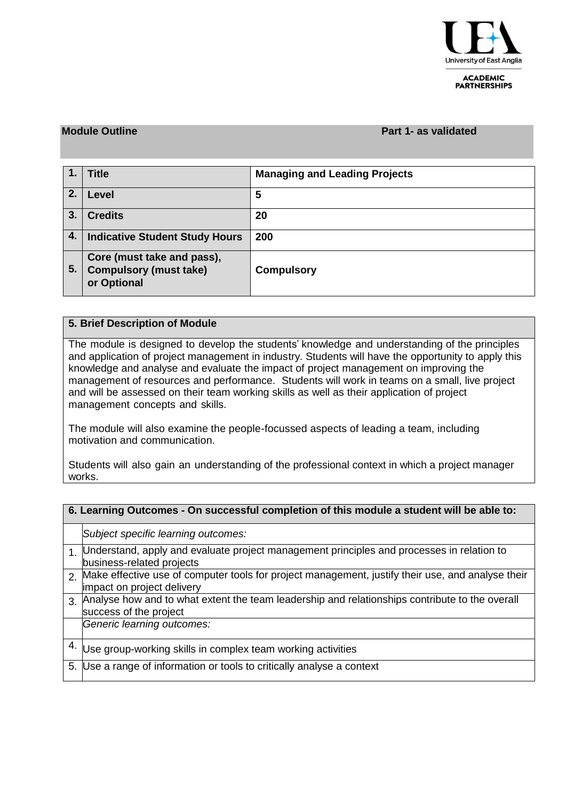

**ACADEMIC PARTNERSHIPS** 

### **Module Outline Part 1- as validated**

|    | <b>Title</b>                                                               | <b>Managing and Leading Projects</b> |
|----|----------------------------------------------------------------------------|--------------------------------------|
| 2. | Level                                                                      | 5                                    |
| 3. | <b>Credits</b>                                                             | 20                                   |
| 4. | <b>Indicative Student Study Hours</b>                                      | 200                                  |
| 5. | Core (must take and pass),<br><b>Compulsory (must take)</b><br>or Optional | <b>Compulsory</b>                    |

### **5. Brief Description of Module**

The module is designed to develop the students' knowledge and understanding of the principles and application of project management in industry. Students will have the opportunity to apply this knowledge and analyse and evaluate the impact of project management on improving the management of resources and performance. Students will work in teams on a small, live project and will be assessed on their team working skills as well as their application of project management concepts and skills.

The module will also examine the people-focussed aspects of leading a team, including motivation and communication.

Students will also gain an understanding of the professional context in which a project manager works.

| 6. Learning Outcomes - On successful completion of this module a student will be able to: |                                                                                                                                    |  |  |  |  |  |
|-------------------------------------------------------------------------------------------|------------------------------------------------------------------------------------------------------------------------------------|--|--|--|--|--|
|                                                                                           | Subject specific learning outcomes:                                                                                                |  |  |  |  |  |
|                                                                                           | 1. Understand, apply and evaluate project management principles and processes in relation to<br>business-related projects          |  |  |  |  |  |
|                                                                                           | 2. Make effective use of computer tools for project management, justify their use, and analyse their<br>impact on project delivery |  |  |  |  |  |
| $\overline{3}$ .                                                                          | Analyse how and to what extent the team leadership and relationships contribute to the overall<br>success of the project           |  |  |  |  |  |
|                                                                                           | Generic learning outcomes:                                                                                                         |  |  |  |  |  |
| 4.                                                                                        | Use group-working skills in complex team working activities                                                                        |  |  |  |  |  |
|                                                                                           | 5. Use a range of information or tools to critically analyse a context                                                             |  |  |  |  |  |